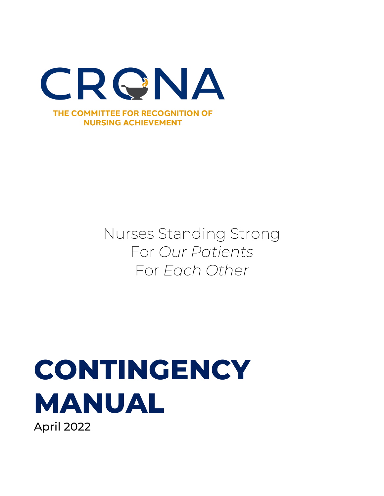

### Nurses Standing Strong For *Our Patients* For *Each Other*

# **CONTINGENCY MANUAL**

April 2022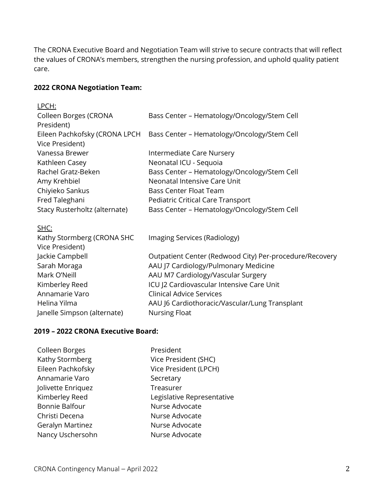The CRONA Executive Board and Negotiation Team will strive to secure contracts that will reflect the values of CRONA's members, strengthen the nursing profession, and uphold quality patient care.

#### **2022 CRONA Negotiation Team:**

| LPCH:                         |                                                         |
|-------------------------------|---------------------------------------------------------|
| Colleen Borges (CRONA         | Bass Center - Hematology/Oncology/Stem Cell             |
| President)                    |                                                         |
| Eileen Pachkofsky (CRONA LPCH | Bass Center - Hematology/Oncology/Stem Cell             |
| Vice President)               |                                                         |
| Vanessa Brewer                | Intermediate Care Nursery                               |
| Kathleen Casey                | Neonatal ICU - Sequoia                                  |
| Rachel Gratz-Beken            | Bass Center - Hematology/Oncology/Stem Cell             |
| Amy Krehbiel                  | Neonatal Intensive Care Unit                            |
| Chiyieko Sankus               | <b>Bass Center Float Team</b>                           |
| Fred Taleghani                | Pediatric Critical Care Transport                       |
| Stacy Rusterholtz (alternate) | Bass Center - Hematology/Oncology/Stem Cell             |
|                               |                                                         |
| SHC:                          |                                                         |
| Kathy Stormberg (CRONA SHC    | Imaging Services (Radiology)                            |
| Vice President)               |                                                         |
| Jackie Campbell               | Outpatient Center (Redwood City) Per-procedure/Recovery |
| Sarah Moraga                  | AAU J7 Cardiology/Pulmonary Medicine                    |
| Mark O'Neill                  | AAU M7 Cardiology/Vascular Surgery                      |
| Kimberley Reed                | ICU J2 Cardiovascular Intensive Care Unit               |
| Annamarie Varo                | <b>Clinical Advice Services</b>                         |
| Helina Yilma                  | AAU J6 Cardiothoracic/Vascular/Lung Transplant          |
| Janelle Simpson (alternate)   | <b>Nursing Float</b>                                    |

#### **2019 – 2022 CRONA Executive Board:**

| Colleen Borges     | President                  |
|--------------------|----------------------------|
| Kathy Stormberg    | Vice President (SHC)       |
| Eileen Pachkofsky  | Vice President (LPCH)      |
| Annamarie Varo     | Secretary                  |
| Jolivette Enriquez | Treasurer                  |
| Kimberley Reed     | Legislative Representative |
| Bonnie Balfour     | Nurse Advocate             |
| Christi Decena     | Nurse Advocate             |
| Geralyn Martinez   | Nurse Advocate             |
| Nancy Uschersohn   | Nurse Advocate             |
|                    |                            |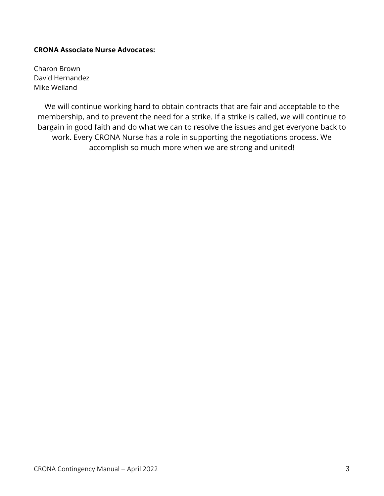#### **CRONA Associate Nurse Advocates:**

Charon Brown David Hernandez Mike Weiland

We will continue working hard to obtain contracts that are fair and acceptable to the membership, and to prevent the need for a strike. If a strike is called, we will continue to bargain in good faith and do what we can to resolve the issues and get everyone back to work. Every CRONA Nurse has a role in supporting the negotiations process. We accomplish so much more when we are strong and united!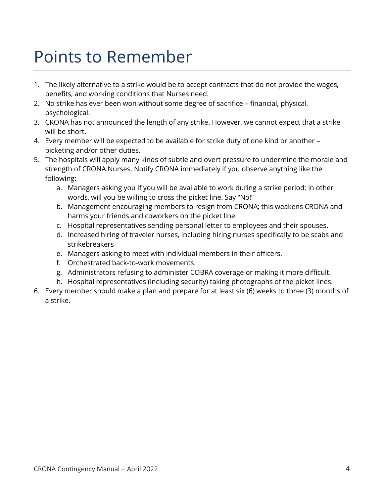## Points to Remember

- 1. The likely alternative to a strike would be to accept contracts that do not provide the wages, benefits, and working conditions that Nurses need.
- 2. No strike has ever been won without some degree of sacrifice financial, physical, psychological.
- 3. CRONA has not announced the length of any strike. However, we cannot expect that a strike will be short.
- 4. Every member will be expected to be available for strike duty of one kind or another picketing and/or other duties.
- 5. The hospitals will apply many kinds of subtle and overt pressure to undermine the morale and strength of CRONA Nurses. Notify CRONA immediately if you observe anything like the following:
	- a. Managers asking you if you will be available to work during a strike period; in other words, will you be willing to cross the picket line. Say "No!"
	- b. Management encouraging members to resign from CRONA; this weakens CRONA and harms your friends and coworkers on the picket line.
	- c. Hospital representatives sending personal letter to employees and their spouses.
	- d. Increased hiring of traveler nurses, including hiring nurses specifically to be scabs and strikebreakers
	- e. Managers asking to meet with individual members in their officers.
	- f. Orchestrated back-to-work movements.
	- g. Administrators refusing to administer COBRA coverage or making it more difficult.
	- h. Hospital representatives (including security) taking photographs of the picket lines.
- 6. Every member should make a plan and prepare for at least six (6) weeks to three (3) months of a strike.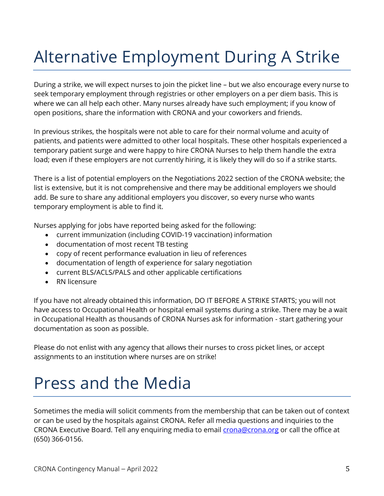# Alternative Employment During A Strike

During a strike, we will expect nurses to join the picket line – but we also encourage every nurse to seek temporary employment through registries or other employers on a per diem basis. This is where we can all help each other. Many nurses already have such employment; if you know of open positions, share the information with CRONA and your coworkers and friends.

In previous strikes, the hospitals were not able to care for their normal volume and acuity of patients, and patients were admitted to other local hospitals. These other hospitals experienced a temporary patient surge and were happy to hire CRONA Nurses to help them handle the extra load; even if these employers are not currently hiring, it is likely they will do so if a strike starts.

There is a list of potential employers on the Negotiations 2022 section of the CRONA website; the list is extensive, but it is not comprehensive and there may be additional employers we should add. Be sure to share any additional employers you discover, so every nurse who wants temporary employment is able to find it.

Nurses applying for jobs have reported being asked for the following:

- current immunization (including COVID-19 vaccination) information
- documentation of most recent TB testing
- copy of recent performance evaluation in lieu of references
- documentation of length of experience for salary negotiation
- current BLS/ACLS/PALS and other applicable certifications
- RN licensure

If you have not already obtained this information, DO IT BEFORE A STRIKE STARTS; you will not have access to Occupational Health or hospital email systems during a strike. There may be a wait in Occupational Health as thousands of CRONA Nurses ask for information - start gathering your documentation as soon as possible.

Please do not enlist with any agency that allows their nurses to cross picket lines, or accept assignments to an institution where nurses are on strike!

### Press and the Media

Sometimes the media will solicit comments from the membership that can be taken out of context or can be used by the hospitals against CRONA. Refer all media questions and inquiries to the CRONA Executive Board. Tell any enquiring media to email *crona@crona.org* or call the office at (650) 366-0156.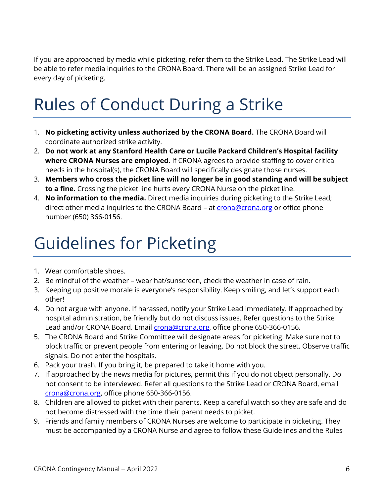If you are approached by media while picketing, refer them to the Strike Lead. The Strike Lead will be able to refer media inquiries to the CRONA Board. There will be an assigned Strike Lead for every day of picketing.

# Rules of Conduct During a Strike

- 1. **No picketing activity unless authorized by the CRONA Board.** The CRONA Board will coordinate authorized strike activity.
- 2. **Do not work at any Stanford Health Care or Lucile Packard Children's Hospital facility where CRONA Nurses are employed.** If CRONA agrees to provide staffing to cover critical needs in the hospital(s), the CRONA Board will specifically designate those nurses.
- 3. **Members who cross the picket line will no longer be in good standing and will be subject to a fine.** Crossing the picket line hurts every CRONA Nurse on the picket line.
- 4. **No information to the media.** Direct media inquiries during picketing to the Strike Lead; direct other media inquiries to the CRONA Board - at **crona@crona.org** or office phone number (650) 366-0156.

# Guidelines for Picketing

- 1. Wear comfortable shoes.
- 2. Be mindful of the weather wear hat/sunscreen, check the weather in case of rain.
- 3. Keeping up positive morale is everyone's responsibility. Keep smiling, and let's support each other!
- 4. Do not argue with anyone. If harassed, notify your Strike Lead immediately. If approached by hospital administration, be friendly but do not discuss issues. Refer questions to the Strike Lead and/or CRONA Board. Email *crona@crona.org*, office phone 650-366-0156.
- 5. The CRONA Board and Strike Committee will designate areas for picketing. Make sure not to block traffic or prevent people from entering or leaving. Do not block the street. Observe traffic signals. Do not enter the hospitals.
- 6. Pack your trash. If you bring it, be prepared to take it home with you.
- 7. If approached by the news media for pictures, permit this if you do not object personally. Do not consent to be interviewed. Refer all questions to the Strike Lead or CRONA Board, email [crona@crona.org,](mailto:crona@crona.org) office phone 650-366-0156.
- 8. Children are allowed to picket with their parents. Keep a careful watch so they are safe and do not become distressed with the time their parent needs to picket.
- 9. Friends and family members of CRONA Nurses are welcome to participate in picketing. They must be accompanied by a CRONA Nurse and agree to follow these Guidelines and the Rules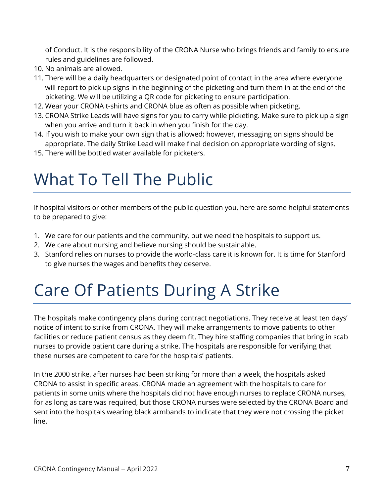of Conduct. It is the responsibility of the CRONA Nurse who brings friends and family to ensure rules and guidelines are followed.

- 10. No animals are allowed.
- 11. There will be a daily headquarters or designated point of contact in the area where everyone will report to pick up signs in the beginning of the picketing and turn them in at the end of the picketing. We will be utilizing a QR code for picketing to ensure participation.
- 12. Wear your CRONA t-shirts and CRONA blue as often as possible when picketing.
- 13. CRONA Strike Leads will have signs for you to carry while picketing. Make sure to pick up a sign when you arrive and turn it back in when you finish for the day.
- 14. If you wish to make your own sign that is allowed; however, messaging on signs should be appropriate. The daily Strike Lead will make final decision on appropriate wording of signs.
- 15. There will be bottled water available for picketers.

### What To Tell The Public

If hospital visitors or other members of the public question you, here are some helpful statements to be prepared to give:

- 1. We care for our patients and the community, but we need the hospitals to support us.
- 2. We care about nursing and believe nursing should be sustainable.
- 3. Stanford relies on nurses to provide the world-class care it is known for. It is time for Stanford to give nurses the wages and benefits they deserve.

# Care Of Patients During A Strike

The hospitals make contingency plans during contract negotiations. They receive at least ten days' notice of intent to strike from CRONA. They will make arrangements to move patients to other facilities or reduce patient census as they deem fit. They hire staffing companies that bring in scab nurses to provide patient care during a strike. The hospitals are responsible for verifying that these nurses are competent to care for the hospitals' patients.

In the 2000 strike, after nurses had been striking for more than a week, the hospitals asked CRONA to assist in specific areas. CRONA made an agreement with the hospitals to care for patients in some units where the hospitals did not have enough nurses to replace CRONA nurses, for as long as care was required, but those CRONA nurses were selected by the CRONA Board and sent into the hospitals wearing black armbands to indicate that they were not crossing the picket line.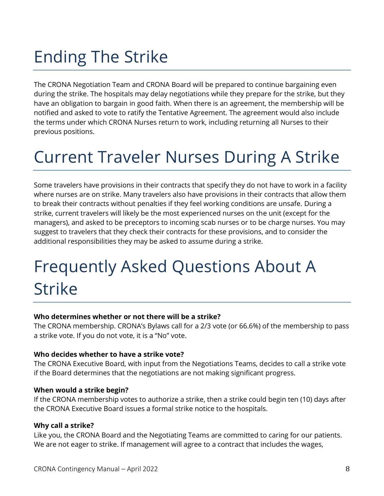# Ending The Strike

The CRONA Negotiation Team and CRONA Board will be prepared to continue bargaining even during the strike. The hospitals may delay negotiations while they prepare for the strike, but they have an obligation to bargain in good faith. When there is an agreement, the membership will be notified and asked to vote to ratify the Tentative Agreement. The agreement would also include the terms under which CRONA Nurses return to work, including returning all Nurses to their previous positions.

### Current Traveler Nurses During A Strike

Some travelers have provisions in their contracts that specify they do not have to work in a facility where nurses are on strike. Many travelers also have provisions in their contracts that allow them to break their contracts without penalties if they feel working conditions are unsafe. During a strike, current travelers will likely be the most experienced nurses on the unit (except for the managers), and asked to be preceptors to incoming scab nurses or to be charge nurses. You may suggest to travelers that they check their contracts for these provisions, and to consider the additional responsibilities they may be asked to assume during a strike.

# Frequently Asked Questions About A Strike

#### **Who determines whether or not there will be a strike?**

The CRONA membership. CRONA's Bylaws call for a 2/3 vote (or 66.6%) of the membership to pass a strike vote. If you do not vote, it is a "No" vote.

#### **Who decides whether to have a strike vote?**

The CRONA Executive Board, with input from the Negotiations Teams, decides to call a strike vote if the Board determines that the negotiations are not making significant progress.

#### **When would a strike begin?**

If the CRONA membership votes to authorize a strike, then a strike could begin ten (10) days after the CRONA Executive Board issues a formal strike notice to the hospitals.

#### **Why call a strike?**

Like you, the CRONA Board and the Negotiating Teams are committed to caring for our patients. We are not eager to strike. If management will agree to a contract that includes the wages,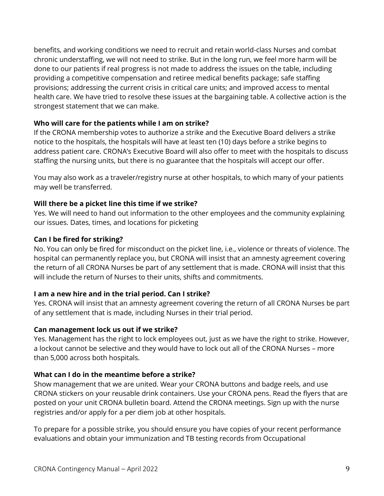benefits, and working conditions we need to recruit and retain world-class Nurses and combat chronic understaffing, we will not need to strike. But in the long run, we feel more harm will be done to our patients if real progress is not made to address the issues on the table, including providing a competitive compensation and retiree medical benefits package; safe staffing provisions; addressing the current crisis in critical care units; and improved access to mental health care. We have tried to resolve these issues at the bargaining table. A collective action is the strongest statement that we can make.

#### **Who will care for the patients while I am on strike?**

If the CRONA membership votes to authorize a strike and the Executive Board delivers a strike notice to the hospitals, the hospitals will have at least ten (10) days before a strike begins to address patient care. CRONA's Executive Board will also offer to meet with the hospitals to discuss staffing the nursing units, but there is no guarantee that the hospitals will accept our offer.

You may also work as a traveler/registry nurse at other hospitals, to which many of your patients may well be transferred.

#### **Will there be a picket line this time if we strike?**

Yes. We will need to hand out information to the other employees and the community explaining our issues. Dates, times, and locations for picketing

#### **Can I be fired for striking?**

No. You can only be fired for misconduct on the picket line, i.e., violence or threats of violence. The hospital can permanently replace you, but CRONA will insist that an amnesty agreement covering the return of all CRONA Nurses be part of any settlement that is made. CRONA will insist that this will include the return of Nurses to their units, shifts and commitments.

#### **I am a new hire and in the trial period. Can I strike?**

Yes. CRONA will insist that an amnesty agreement covering the return of all CRONA Nurses be part of any settlement that is made, including Nurses in their trial period.

#### **Can management lock us out if we strike?**

Yes. Management has the right to lock employees out, just as we have the right to strike. However, a lockout cannot be selective and they would have to lock out all of the CRONA Nurses – more than 5,000 across both hospitals.

#### **What can I do in the meantime before a strike?**

Show management that we are united. Wear your CRONA buttons and badge reels, and use CRONA stickers on your reusable drink containers. Use your CRONA pens. Read the flyers that are posted on your unit CRONA bulletin board. Attend the CRONA meetings. Sign up with the nurse registries and/or apply for a per diem job at other hospitals.

To prepare for a possible strike, you should ensure you have copies of your recent performance evaluations and obtain your immunization and TB testing records from Occupational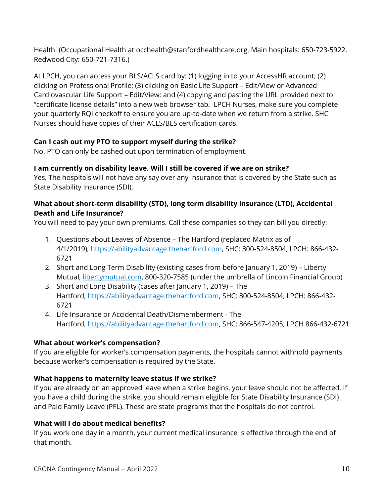Health. (Occupational Health at occhealth@stanfordhealthcare.org. Main hospitals: 650-723-5922. Redwood City: 650-721-7316.)

At LPCH, you can access your BLS/ACLS card by: (1) logging in to your AccessHR account; (2) clicking on Professional Profile; (3) clicking on Basic Life Support – Edit/View or Advanced Cardiovascular Life Support – Edit/View; and (4) copying and pasting the URL provided next to "certificate license details" into a new web browser tab. LPCH Nurses, make sure you complete your quarterly RQI checkoff to ensure you are up-to-date when we return from a strike. SHC Nurses should have copies of their ACLS/BLS certification cards.

#### **Can I cash out my PTO to support myself during the strike?**

No. PTO can only be cashed out upon termination of employment.

#### **I am currently on disability leave. Will I still be covered if we are on strike?**

Yes. The hospitals will not have any say over any insurance that is covered by the State such as State Disability Insurance (SDI).

#### **What about short-term disability (STD), long term disability insurance (LTD), Accidental Death and Life Insurance?**

You will need to pay your own premiums. Call these companies so they can bill you directly:

- 1. Questions about Leaves of Absence The Hartford (replaced Matrix as of 4/1/2019), [https://abilityadvantage.thehartford.com,](https://abilityadvantage.thehartford.com/) SHC: 800-524-8504, LPCH: 866-432- 6721
- 2. Short and Long Term Disability (existing cases from before January 1, 2019) Liberty Mutual, [libertymutual.com,](http://www.libertymutual.com/) 800-320-7585 (under the umbrella of Lincoln Financial Group)
- 3. Short and Long Disability (cases after January 1, 2019) The Hartford, [https://abilityadvantage.thehartford.com,](https://abilityadvantage.thehartford.com/) SHC: 800-524-8504, LPCH: 866-432- 6721
- 4. Life Insurance or Accidental Death/Dismemberment The Hartford, [https://abilityadvantage.thehartford.com,](https://abilityadvantage.thehartford.com/) SHC: 866-547-4205, LPCH 866-432-6721

#### **What about worker's compensation?**

If you are eligible for worker's compensation payments, the hospitals cannot withhold payments because worker's compensation is required by the State.

#### **What happens to maternity leave status if we strike?**

If you are already on an approved leave when a strike begins, your leave should not be affected. If you have a child during the strike, you should remain eligible for State Disability Insurance (SDI) and Paid Family Leave (PFL). These are state programs that the hospitals do not control.

#### **What will I do about medical benefits?**

If you work one day in a month, your current medical insurance is effective through the end of that month.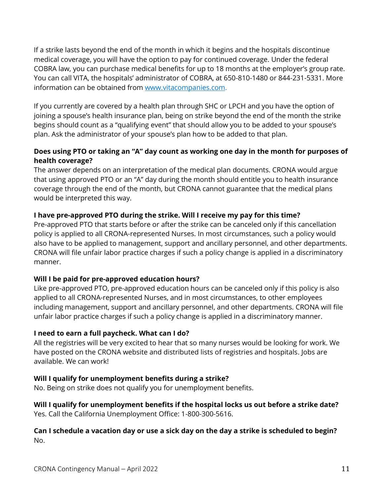If a strike lasts beyond the end of the month in which it begins and the hospitals discontinue medical coverage, you will have the option to pay for continued coverage. Under the federal COBRA law, you can purchase medical benefits for up to 18 months at the employer's group rate. You can call VITA, the hospitals' administrator of COBRA, at 650-810-1480 or 844-231-5331. More information can be obtained from [www.vitacompanies.com.](http://www.vitacompanies.com/)

If you currently are covered by a health plan through SHC or LPCH and you have the option of joining a spouse's health insurance plan, being on strike beyond the end of the month the strike begins should count as a "qualifying event" that should allow you to be added to your spouse's plan. Ask the administrator of your spouse's plan how to be added to that plan.

#### **Does using PTO or taking an "A" day count as working one day in the month for purposes of health coverage?**

The answer depends on an interpretation of the medical plan documents. CRONA would argue that using approved PTO or an "A" day during the month should entitle you to health insurance coverage through the end of the month, but CRONA cannot guarantee that the medical plans would be interpreted this way.

#### **I have pre-approved PTO during the strike. Will I receive my pay for this time?**

Pre-approved PTO that starts before or after the strike can be canceled only if this cancellation policy is applied to all CRONA-represented Nurses. In most circumstances, such a policy would also have to be applied to management, support and ancillary personnel, and other departments. CRONA will file unfair labor practice charges if such a policy change is applied in a discriminatory manner.

#### **Will I be paid for pre-approved education hours?**

Like pre-approved PTO, pre-approved education hours can be canceled only if this policy is also applied to all CRONA-represented Nurses, and in most circumstances, to other employees including management, support and ancillary personnel, and other departments. CRONA will file unfair labor practice charges if such a policy change is applied in a discriminatory manner.

#### **I need to earn a full paycheck. What can I do?**

All the registries will be very excited to hear that so many nurses would be looking for work. We have posted on the CRONA website and distributed lists of registries and hospitals. Jobs are available. We can work!

#### **Will I qualify for unemployment benefits during a strike?**

No. Being on strike does not qualify you for unemployment benefits.

#### **Will I qualify for unemployment benefits if the hospital locks us out before a strike date?** Yes. Call the California Unemployment Office: 1-800-300-5616.

#### Can I schedule a vacation day or use a sick day on the day a strike is scheduled to begin? No.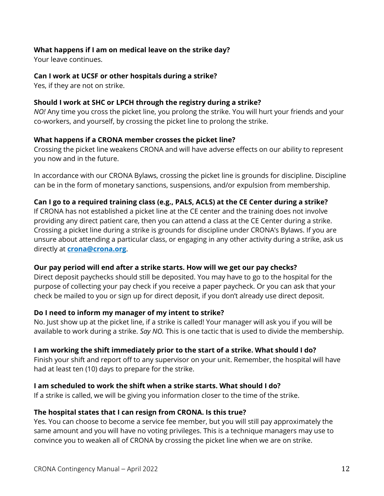#### **What happens if I am on medical leave on the strike day?**

Your leave continues.

#### **Can I work at UCSF or other hospitals during a strike?**

Yes, if they are not on strike.

#### **Should I work at SHC or LPCH through the registry during a strike?**

*NO!* Any time you cross the picket line, you prolong the strike. You will hurt your friends and your co-workers, and yourself, by crossing the picket line to prolong the strike.

#### **What happens if a CRONA member crosses the picket line?**

Crossing the picket line weakens CRONA and will have adverse effects on our ability to represent you now and in the future.

In accordance with our CRONA Bylaws, crossing the picket line is grounds for discipline. Discipline can be in the form of monetary sanctions, suspensions, and/or expulsion from membership.

#### **Can I go to a required training class (e.g., PALS, ACLS) at the CE Center during a strike?**

If CRONA has not established a picket line at the CE center and the training does not involve providing any direct patient care, then you can attend a class at the CE Center during a strike. Crossing a picket line during a strike is grounds for discipline under CRONA's Bylaws. If you are unsure about attending a particular class, or engaging in any other activity during a strike, ask us directly at **[crona@crona.org](mailto:crona@crona.org)**.

#### **Our pay period will end after a strike starts. How will we get our pay checks?**

Direct deposit paychecks should still be deposited. You may have to go to the hospital for the purpose of collecting your pay check if you receive a paper paycheck. Or you can ask that your check be mailed to you or sign up for direct deposit, if you don't already use direct deposit.

#### **Do I need to inform my manager of my intent to strike?**

No. Just show up at the picket line, if a strike is called! Your manager will ask you if you will be available to work during a strike. *Say NO.* This is one tactic that is used to divide the membership.

#### **I am working the shift immediately prior to the start of a strike. What should I do?**

Finish your shift and report off to any supervisor on your unit. Remember, the hospital will have had at least ten (10) days to prepare for the strike.

#### **I am scheduled to work the shift when a strike starts. What should I do?**

If a strike is called, we will be giving you information closer to the time of the strike.

#### **The hospital states that I can resign from CRONA. Is this true?**

Yes. You can choose to become a service fee member, but you will still pay approximately the same amount and you will have no voting privileges. This is a technique managers may use to convince you to weaken all of CRONA by crossing the picket line when we are on strike.